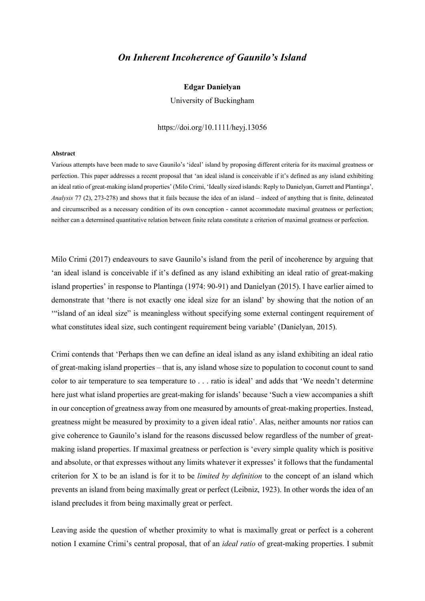## *On Inherent Incoherence of Gaunilo's Island*

## **Edgar Danielyan**

University of Buckingham

https://doi.org/10.1111/heyj.13056

## **Abstract**

Various attempts have been made to save Gaunilo's 'ideal' island by proposing different criteria for its maximal greatness or perfection. This paper addresses a recent proposal that 'an ideal island is conceivable if it's defined as any island exhibiting an ideal ratio of great-making island properties' (Milo Crimi, 'Ideally sized islands: Reply to Danielyan, Garrett and Plantinga', *Analysis* 77 (2), 273-278) and shows that it fails because the idea of an island – indeed of anything that is finite, delineated and circumscribed as a necessary condition of its own conception - cannot accommodate maximal greatness or perfection; neither can a determined quantitative relation between finite relata constitute a criterion of maximal greatness or perfection.

Milo Crimi (2017) endeavours to save Gaunilo's island from the peril of incoherence by arguing that 'an ideal island is conceivable if it's defined as any island exhibiting an ideal ratio of great-making island properties' in response to Plantinga (1974: 90-91) and Danielyan (2015). I have earlier aimed to demonstrate that 'there is not exactly one ideal size for an island' by showing that the notion of an '"island of an ideal size" is meaningless without specifying some external contingent requirement of what constitutes ideal size, such contingent requirement being variable' (Danielyan, 2015).

Crimi contends that 'Perhaps then we can define an ideal island as any island exhibiting an ideal ratio of great-making island properties – that is, any island whose size to population to coconut count to sand color to air temperature to sea temperature to . . . ratio is ideal' and adds that 'We needn't determine here just what island properties are great-making for islands' because 'Such a view accompanies a shift in our conception of greatness away from one measured by amounts of great-making properties. Instead, greatness might be measured by proximity to a given ideal ratio'. Alas, neither amounts nor ratios can give coherence to Gaunilo's island for the reasons discussed below regardless of the number of greatmaking island properties. If maximal greatness or perfection is 'every simple quality which is positive and absolute, or that expresses without any limits whatever it expresses' it follows that the fundamental criterion for X to be an island is for it to be *limited by definition* to the concept of an island which prevents an island from being maximally great or perfect (Leibniz, 1923). In other words the idea of an island precludes it from being maximally great or perfect.

Leaving aside the question of whether proximity to what is maximally great or perfect is a coherent notion I examine Crimi's central proposal, that of an *ideal ratio* of great-making properties. I submit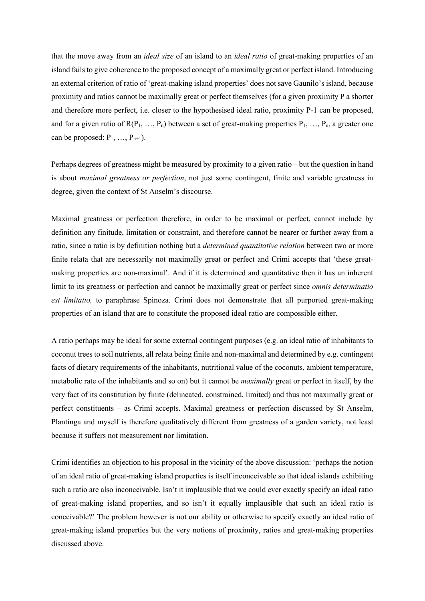that the move away from an *ideal size* of an island to an *ideal ratio* of great-making properties of an island fails to give coherence to the proposed concept of a maximally great or perfect island. Introducing an external criterion of ratio of 'great-making island properties' does not save Gaunilo's island, because proximity and ratios cannot be maximally great or perfect themselves (for a given proximity P a shorter and therefore more perfect, i.e. closer to the hypothesised ideal ratio, proximity P-1 can be proposed, and for a given ratio of  $R(P_1, ..., P_n)$  between a set of great-making properties  $P_1, ..., P_n$ , a greater one can be proposed:  $P_1, \ldots, P_{n+1}$ ).

Perhaps degrees of greatness might be measured by proximity to a given ratio – but the question in hand is about *maximal greatness or perfection*, not just some contingent, finite and variable greatness in degree, given the context of St Anselm's discourse.

Maximal greatness or perfection therefore, in order to be maximal or perfect, cannot include by definition any finitude, limitation or constraint, and therefore cannot be nearer or further away from a ratio, since a ratio is by definition nothing but a *determined quantitative relation* between two or more finite relata that are necessarily not maximally great or perfect and Crimi accepts that 'these greatmaking properties are non-maximal'. And if it is determined and quantitative then it has an inherent limit to its greatness or perfection and cannot be maximally great or perfect since *omnis determinatio est limitatio,* to paraphrase Spinoza. Crimi does not demonstrate that all purported great-making properties of an island that are to constitute the proposed ideal ratio are compossible either.

A ratio perhaps may be ideal for some external contingent purposes (e.g. an ideal ratio of inhabitants to coconut trees to soil nutrients, all relata being finite and non-maximal and determined by e.g. contingent facts of dietary requirements of the inhabitants, nutritional value of the coconuts, ambient temperature, metabolic rate of the inhabitants and so on) but it cannot be *maximally* great or perfect in itself, by the very fact of its constitution by finite (delineated, constrained, limited) and thus not maximally great or perfect constituents – as Crimi accepts. Maximal greatness or perfection discussed by St Anselm, Plantinga and myself is therefore qualitatively different from greatness of a garden variety, not least because it suffers not measurement nor limitation.

Crimi identifies an objection to his proposal in the vicinity of the above discussion: 'perhaps the notion of an ideal ratio of great-making island properties is itself inconceivable so that ideal islands exhibiting such a ratio are also inconceivable. Isn't it implausible that we could ever exactly specify an ideal ratio of great-making island properties, and so isn't it equally implausible that such an ideal ratio is conceivable?' The problem however is not our ability or otherwise to specify exactly an ideal ratio of great-making island properties but the very notions of proximity, ratios and great-making properties discussed above.